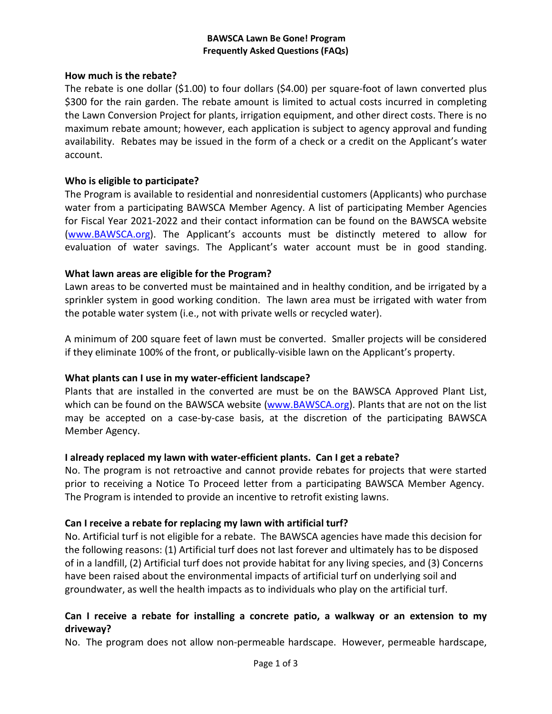### **BAWSCA Lawn Be Gone! Program Frequently Asked Questions (FAQs)**

### **How much is the rebate?**

The rebate is one dollar (\$1.00) to four dollars (\$4.00) per square-foot of lawn converted plus \$300 for the rain garden. The rebate amount is limited to actual costs incurred in completing the Lawn Conversion Project for plants, irrigation equipment, and other direct costs. There is no maximum rebate amount; however, each application is subject to agency approval and funding availability. Rebates may be issued in the form of a check or a credit on the Applicant's water account.

### **Who is eligible to participate?**

The Program is available to residential and nonresidential customers (Applicants) who purchase water from a participating BAWSCA Member Agency. A list of participating Member Agencies for Fiscal Year 2021-2022 and their contact information can be found on the BAWSCA website [\(www.BAWSCA.org\)](http://www.bawsca.org/). The Applicant's accounts must be distinctly metered to allow for evaluation of water savings. The Applicant's water account must be in good standing.

### **What lawn areas are eligible for the Program?**

Lawn areas to be converted must be maintained and in healthy condition, and be irrigated by a sprinkler system in good working condition. The lawn area must be irrigated with water from the potable water system (i.e., not with private wells or recycled water).

A minimum of 200 square feet of lawn must be converted. Smaller projects will be considered if they eliminate 100% of the front, or publically-visible lawn on the Applicant's property.

### **What plants can I use in my water-efficient landscape?**

Plants that are installed in the converted are must be on the BAWSCA Approved Plant List, which can be found on the BAWSCA website [\(www.BAWSCA.org\)](http://www.bawsca.org/). Plants that are not on the list may be accepted on a case-by-case basis, at the discretion of the participating BAWSCA Member Agency.

### **I already replaced my lawn with water-efficient plants. Can I get a rebate?**

No. The program is not retroactive and cannot provide rebates for projects that were started prior to receiving a Notice To Proceed letter from a participating BAWSCA Member Agency. The Program is intended to provide an incentive to retrofit existing lawns.

### **Can I receive a rebate for replacing my lawn with artificial turf?**

No. Artificial turf is not eligible for a rebate. The BAWSCA agencies have made this decision for the following reasons: (1) Artificial turf does not last forever and ultimately has to be disposed of in a landfill, (2) Artificial turf does not provide habitat for any living species, and (3) Concerns have been raised about the environmental impacts of artificial turf on underlying soil and groundwater, as well the health impacts as to individuals who play on the artificial turf.

### **Can I receive a rebate for installing a concrete patio, a walkway or an extension to my driveway?**

No. The program does not allow non-permeable hardscape. However, permeable hardscape,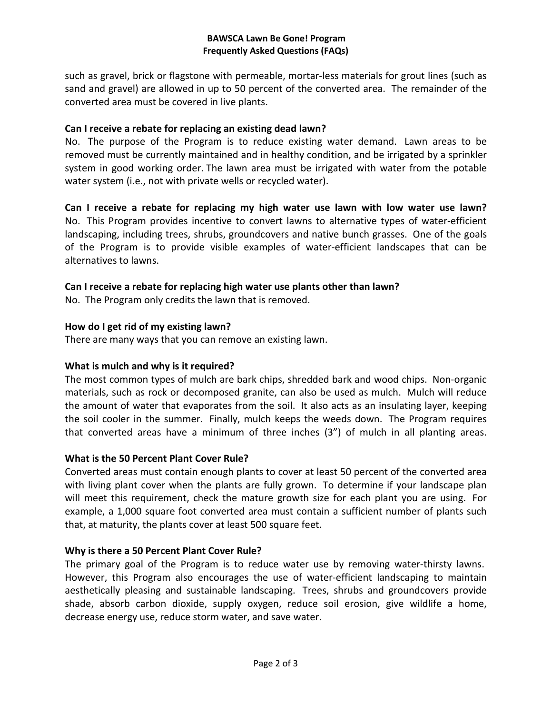### **BAWSCA Lawn Be Gone! Program Frequently Asked Questions (FAQs)**

such as gravel, brick or flagstone with permeable, mortar-less materials for grout lines (such as sand and gravel) are allowed in up to 50 percent of the converted area. The remainder of the converted area must be covered in live plants.

### **Can I receive a rebate for replacing an existing dead lawn?**

No. The purpose of the Program is to reduce existing water demand. Lawn areas to be removed must be currently maintained and in healthy condition, and be irrigated by a sprinkler system in good working order. The lawn area must be irrigated with water from the potable water system (i.e., not with private wells or recycled water).

**Can I receive a rebate for replacing my high water use lawn with low water use lawn?** No. This Program provides incentive to convert lawns to alternative types of water-efficient landscaping, including trees, shrubs, groundcovers and native bunch grasses. One of the goals of the Program is to provide visible examples of water-efficient landscapes that can be alternatives to lawns.

# **Can I receive a rebate for replacing high water use plants other than lawn?**

No. The Program only credits the lawn that is removed.

### **How do I get rid of my existing lawn?**

There are many ways that you can remove an existing lawn.

# **What is mulch and why is it required?**

The most common types of mulch are bark chips, shredded bark and wood chips. Non-organic materials, such as rock or decomposed granite, can also be used as mulch. Mulch will reduce the amount of water that evaporates from the soil. It also acts as an insulating layer, keeping the soil cooler in the summer. Finally, mulch keeps the weeds down. The Program requires that converted areas have a minimum of three inches (3") of mulch in all planting areas.

### **What is the 50 Percent Plant Cover Rule?**

Converted areas must contain enough plants to cover at least 50 percent of the converted area with living plant cover when the plants are fully grown. To determine if your landscape plan will meet this requirement, check the mature growth size for each plant you are using. For example, a 1,000 square foot converted area must contain a sufficient number of plants such that, at maturity, the plants cover at least 500 square feet.

# **Why is there a 50 Percent Plant Cover Rule?**

The primary goal of the Program is to reduce water use by removing water-thirsty lawns. However, this Program also encourages the use of water-efficient landscaping to maintain aesthetically pleasing and sustainable landscaping. Trees, shrubs and groundcovers provide shade, absorb carbon dioxide, supply oxygen, reduce soil erosion, give wildlife a home, decrease energy use, reduce storm water, and save water.